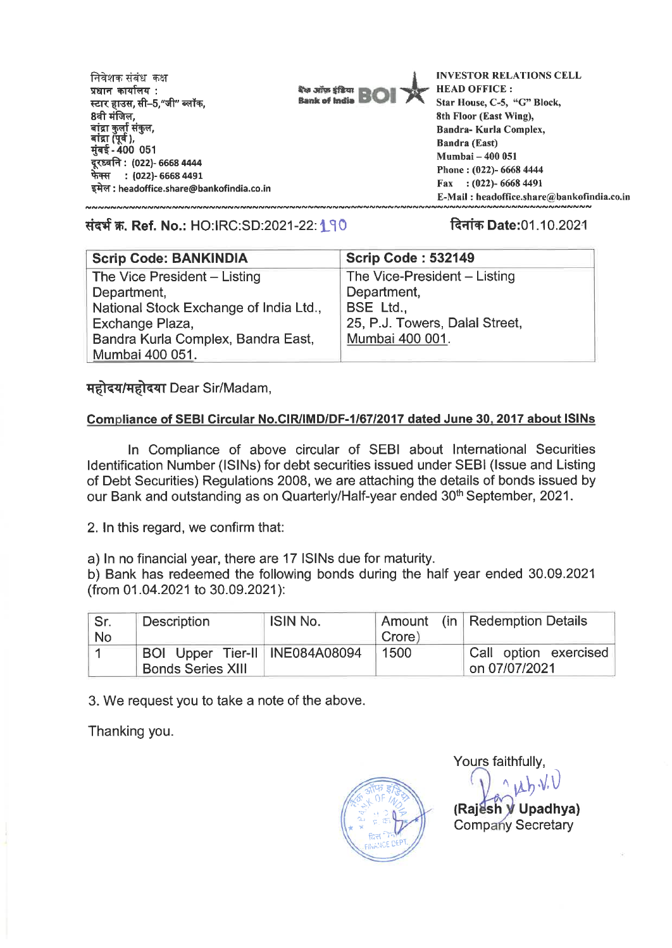**INVESTOR RELATIONS CELL निवेशक संबंध** कक्ष **प्रधान कार्यालय: The Janus Efficer HEAD OFFICE :**  स्टार हाउस, सी–5,"जी**" ब्लॉक**, **Rank of India Star House, C-5, "G" Block, 8वी मंजिल. 8th Floor (East Wing),**  बांद्रा कुर्ला संकुल, **Bandra- Kurla Complex, Ata(14), Sandra (East) 4-4t - 400 051 Mumbai — 400 051 : (022)- 6668 4444 Phone : (022)- 6668 4444 \*TR : (022)- 6668 4491 Fax : (022)- 6668 4491 : headoffice.share@bankofindia.co.in E-Mail : headoffice.share@bankofindia.co.in** 

**tick W. Ref. No.: HO:IRC:SD:2021-22:1.510 rim Date:01.10.2021** 

| Scrip Code: 532149             |
|--------------------------------|
| The Vice-President - Listing   |
| Department,                    |
| BSE Ltd.,                      |
| 25, P.J. Towers, Dalal Street, |
| Mumbai 400 001.                |
|                                |
|                                |

महोदय/महोदया Dear Sir/Madam,

## **Compliance of SEBI Circular No.CIR/IMD/DF-1/67/2017 dated June 30, 2017 about ISINs**

In Compliance of above circular of SEBI about International Securities Identification Number (ISINs) for debt securities issued under SEBI (Issue and Listing of Debt Securities) Regulations 2008, we are attaching the details of bonds issued by our Bank and outstanding as on Quarterly/Half-year ended 30<sup>th</sup> September, 2021.

2. **In** this regard, we confirm that:

a) In no financial year, there are 17 ISINs due for maturity.

b) Bank has redeemed the following bonds during the half year ended 30.09.2021 (from 01.04.2021 to 30.09.2021):

| Sr.<br><b>No</b> | <b>Description</b>                                         | <b>ISIN No.</b> | Crore) | Amount (in Redemption Details          |
|------------------|------------------------------------------------------------|-----------------|--------|----------------------------------------|
|                  | BOI Upper Tier-II INE084A08094<br><b>Bonds Series XIII</b> |                 | 1500   | Call option exercised<br>on 07/07/2021 |

3. We request you to take a note of the above.

Thanking you.



Yours faithfully, **0** 

**(Raj sh Upadhya)**  Company Secretary